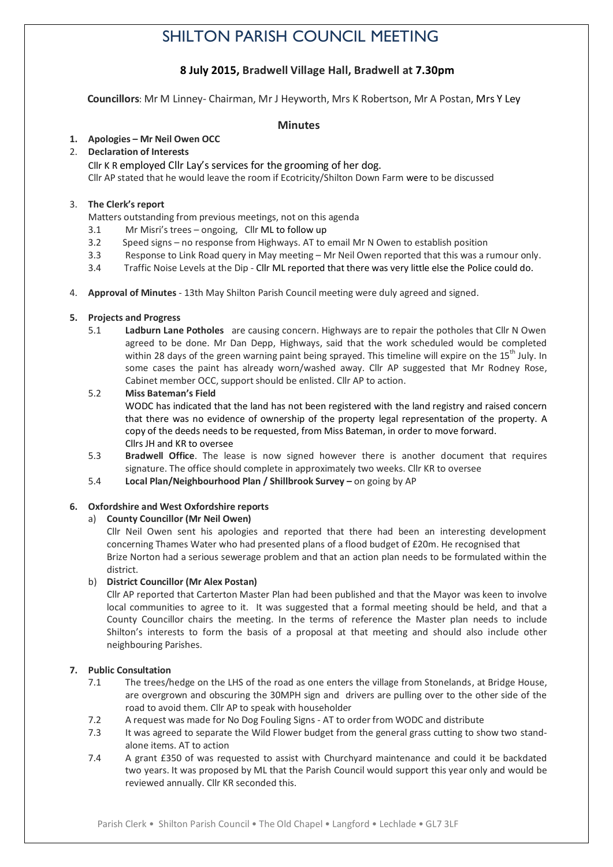# SHILTON PARISH COUNCIL MEETING

# **8 July 2015, Bradwell Village Hall, Bradwell at 7.30pm**

 **Councillors**: Mr M Linney- Chairman, Mr J Heyworth, Mrs K Robertson, Mr A Postan, Mrs Y Ley

### **Minutes**

# **1. Apologies – Mr Neil Owen OCC**

# 2. **Declaration of Interests**

Cllr K R employed Cllr Lay's services for the grooming of her dog. Cllr AP stated that he would leave the room if Ecotricity/Shilton Down Farm were to be discussed

# 3. **The Clerk's report**

Matters outstanding from previous meetings, not on this agenda

- 3.1 Mr Misri's trees ongoing, Cllr ML to follow up
- 3.2 Speed signs no response from Highways. AT to email Mr N Owen to establish position
- 3.3 Response to Link Road query in May meeting Mr Neil Owen reported that this was a rumour only.
- 3.4 Traffic Noise Levels at the Dip Cllr ML reported that there was very little else the Police could do.
- 4. **Approval of Minutes** 13th May Shilton Parish Council meeting were duly agreed and signed.

### **5. Projects and Progress**

- 5.1 **Ladburn Lane Potholes** are causing concern. Highways are to repair the potholes that Cllr N Owen agreed to be done. Mr Dan Depp, Highways, said that the work scheduled would be completed within 28 days of the green warning paint being sprayed. This timeline will expire on the 15<sup>th</sup> July. In some cases the paint has already worn/washed away. Cllr AP suggested that Mr Rodney Rose, Cabinet member OCC, support should be enlisted. Cllr AP to action.
- 5.2 **Miss Bateman's Field** WODC has indicated that the land has not been registered with the land registry and raised concern that there was no evidence of ownership of the property legal representation of the property. A copy of the deeds needs to be requested, from Miss Bateman, in order to move forward. Cllrs JH and KR to oversee
- 5.3 **Bradwell Office**. The lease is now signed however there is another document that requires signature. The office should complete in approximately two weeks. Cllr KR to oversee
- 5.4 **Local Plan/Neighbourhood Plan / Shillbrook Survey –** on going by AP

# **6. Oxfordshire and West Oxfordshire reports**

# a) **County Councillor (Mr Neil Owen)**

Cllr Neil Owen sent his apologies and reported that there had been an interesting development concerning Thames Water who had presented plans of a flood budget of £20m. He recognised that Brize Norton had a serious sewerage problem and that an action plan needs to be formulated within the district.

# b) **District Councillor (Mr Alex Postan)**

Cllr AP reported that Carterton Master Plan had been published and that the Mayor was keen to involve local communities to agree to it. It was suggested that a formal meeting should be held, and that a County Councillor chairs the meeting. In the terms of reference the Master plan needs to include Shilton's interests to form the basis of a proposal at that meeting and should also include other neighbouring Parishes.

# **7. Public Consultation**

- 7.1 The trees/hedge on the LHS of the road as one enters the village from Stonelands, at Bridge House, are overgrown and obscuring the 30MPH sign and drivers are pulling over to the other side of the road to avoid them. Cllr AP to speak with householder
- 7.2 A request was made for No Dog Fouling Signs AT to order from WODC and distribute
- 7.3 It was agreed to separate the Wild Flower budget from the general grass cutting to show two standalone items. AT to action
- 7.4 A grant £350 of was requested to assist with Churchyard maintenance and could it be backdated two years. It was proposed by ML that the Parish Council would support this year only and would be reviewed annually. Cllr KR seconded this.